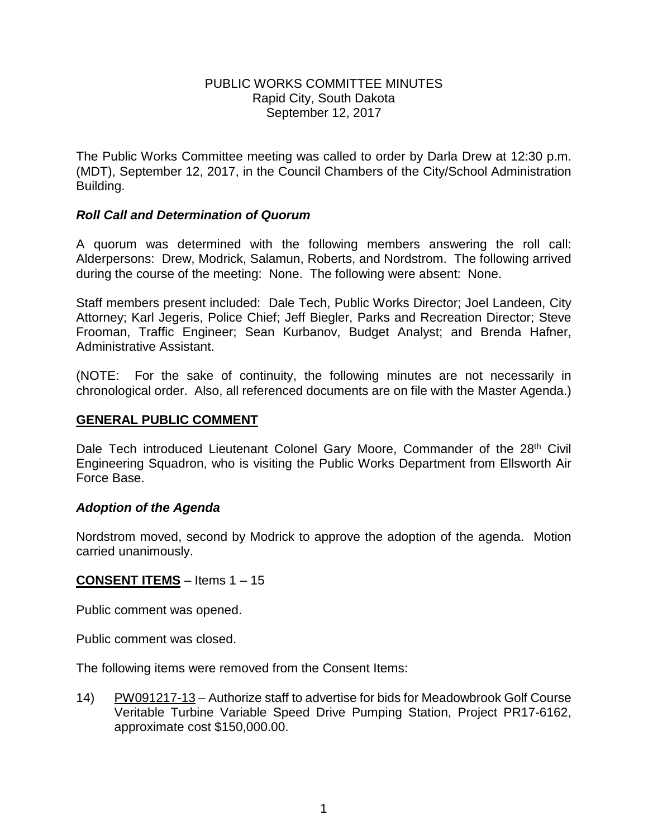#### PUBLIC WORKS COMMITTEE MINUTES Rapid City, South Dakota September 12, 2017

The Public Works Committee meeting was called to order by Darla Drew at 12:30 p.m. (MDT), September 12, 2017, in the Council Chambers of the City/School Administration Building.

# *Roll Call and Determination of Quorum*

A quorum was determined with the following members answering the roll call: Alderpersons: Drew, Modrick, Salamun, Roberts, and Nordstrom. The following arrived during the course of the meeting: None. The following were absent: None.

Staff members present included: Dale Tech, Public Works Director; Joel Landeen, City Attorney; Karl Jegeris, Police Chief; Jeff Biegler, Parks and Recreation Director; Steve Frooman, Traffic Engineer; Sean Kurbanov, Budget Analyst; and Brenda Hafner, Administrative Assistant.

(NOTE: For the sake of continuity, the following minutes are not necessarily in chronological order. Also, all referenced documents are on file with the Master Agenda.)

# **GENERAL PUBLIC COMMENT**

Dale Tech introduced Lieutenant Colonel Gary Moore, Commander of the 28<sup>th</sup> Civil Engineering Squadron, who is visiting the Public Works Department from Ellsworth Air Force Base.

# *Adoption of the Agenda*

Nordstrom moved, second by Modrick to approve the adoption of the agenda. Motion carried unanimously.

# **CONSENT ITEMS** – Items 1 – 15

Public comment was opened.

Public comment was closed.

The following items were removed from the Consent Items:

14) PW091217-13 – Authorize staff to advertise for bids for Meadowbrook Golf Course Veritable Turbine Variable Speed Drive Pumping Station, Project PR17-6162, approximate cost \$150,000.00.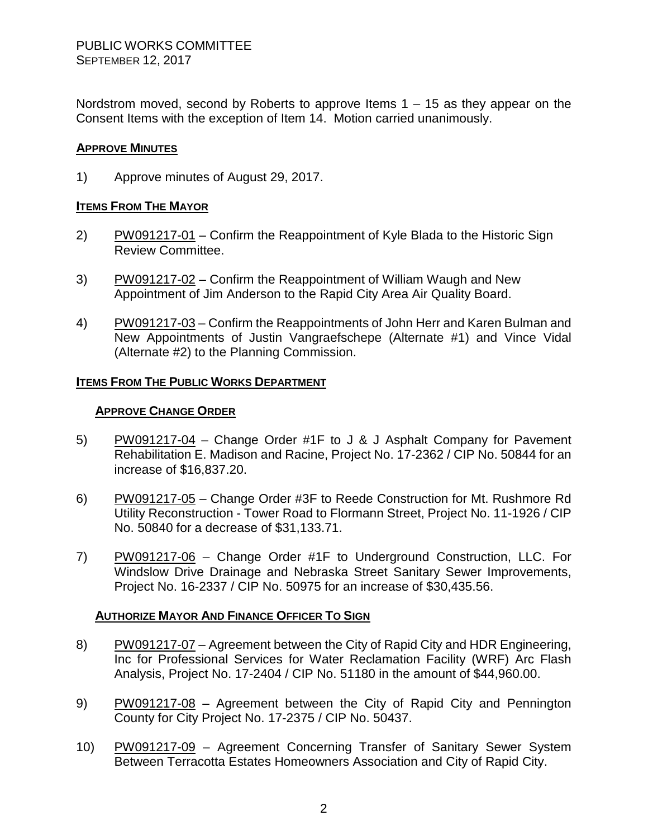Nordstrom moved, second by Roberts to approve Items  $1 - 15$  as they appear on the Consent Items with the exception of Item 14. Motion carried unanimously.

### **APPROVE MINUTES**

1) Approve minutes of August 29, 2017.

#### **ITEMS FROM THE MAYOR**

- 2) PW091217-01 Confirm the Reappointment of Kyle Blada to the Historic Sign Review Committee.
- 3) PW091217-02 Confirm the Reappointment of William Waugh and New Appointment of Jim Anderson to the Rapid City Area Air Quality Board.
- 4) PW091217-03 Confirm the Reappointments of John Herr and Karen Bulman and New Appointments of Justin Vangraefschepe (Alternate #1) and Vince Vidal (Alternate #2) to the Planning Commission.

#### **ITEMS FROM THE PUBLIC WORKS DEPARTMENT**

#### **APPROVE CHANGE ORDER**

- 5) PW091217-04 Change Order #1F to J & J Asphalt Company for Pavement Rehabilitation E. Madison and Racine, Project No. 17-2362 / CIP No. 50844 for an increase of \$16,837.20.
- 6) PW091217-05 Change Order #3F to Reede Construction for Mt. Rushmore Rd Utility Reconstruction - Tower Road to Flormann Street, Project No. 11-1926 / CIP No. 50840 for a decrease of \$31,133.71.
- 7) PW091217-06 Change Order #1F to Underground Construction, LLC. For Windslow Drive Drainage and Nebraska Street Sanitary Sewer Improvements, Project No. 16-2337 / CIP No. 50975 for an increase of \$30,435.56.

# **AUTHORIZE MAYOR AND FINANCE OFFICER TO SIGN**

- 8) PW091217-07 Agreement between the City of Rapid City and HDR Engineering, Inc for Professional Services for Water Reclamation Facility (WRF) Arc Flash Analysis, Project No. 17-2404 / CIP No. 51180 in the amount of \$44,960.00.
- 9) PW091217-08 Agreement between the City of Rapid City and Pennington County for City Project No. 17-2375 / CIP No. 50437.
- 10) PW091217-09 Agreement Concerning Transfer of Sanitary Sewer System Between Terracotta Estates Homeowners Association and City of Rapid City.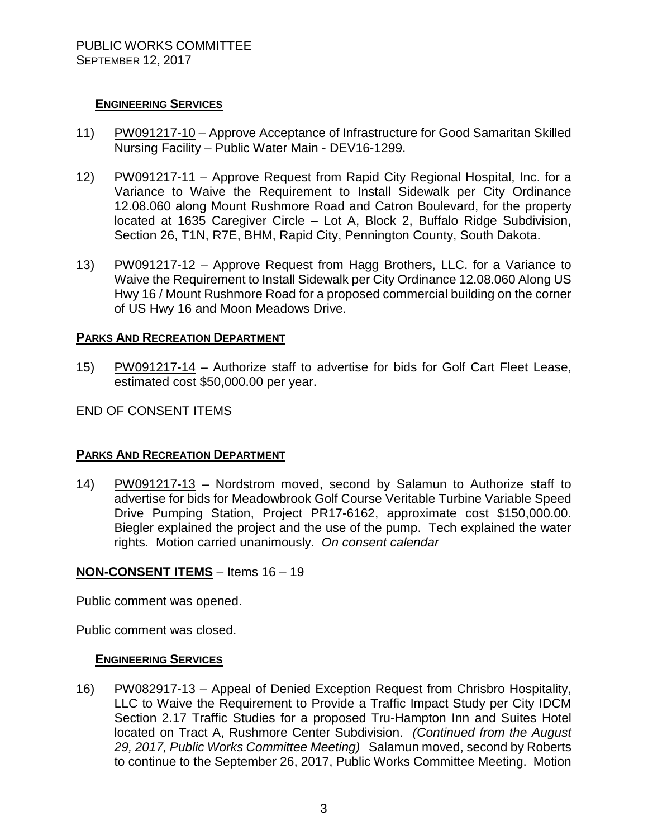# **ENGINEERING SERVICES**

- 11) PW091217-10 Approve Acceptance of Infrastructure for Good Samaritan Skilled Nursing Facility – Public Water Main - DEV16-1299.
- 12) PW091217-11 Approve Request from Rapid City Regional Hospital, Inc. for a Variance to Waive the Requirement to Install Sidewalk per City Ordinance 12.08.060 along Mount Rushmore Road and Catron Boulevard, for the property located at 1635 Caregiver Circle – Lot A, Block 2, Buffalo Ridge Subdivision, Section 26, T1N, R7E, BHM, Rapid City, Pennington County, South Dakota.
- 13) PW091217-12 Approve Request from Hagg Brothers, LLC. for a Variance to Waive the Requirement to Install Sidewalk per City Ordinance 12.08.060 Along US Hwy 16 / Mount Rushmore Road for a proposed commercial building on the corner of US Hwy 16 and Moon Meadows Drive.

#### **PARKS AND RECREATION DEPARTMENT**

15) PW091217-14 – Authorize staff to advertise for bids for Golf Cart Fleet Lease, estimated cost \$50,000.00 per year.

# END OF CONSENT ITEMS

#### **PARKS AND RECREATION DEPARTMENT**

14) PW091217-13 – Nordstrom moved, second by Salamun to Authorize staff to advertise for bids for Meadowbrook Golf Course Veritable Turbine Variable Speed Drive Pumping Station, Project PR17-6162, approximate cost \$150,000.00. Biegler explained the project and the use of the pump. Tech explained the water rights. Motion carried unanimously. *On consent calendar*

# **NON-CONSENT ITEMS** – Items 16 – 19

Public comment was opened.

Public comment was closed.

#### **ENGINEERING SERVICES**

16) PW082917-13 – Appeal of Denied Exception Request from Chrisbro Hospitality, LLC to Waive the Requirement to Provide a Traffic Impact Study per City IDCM Section 2.17 Traffic Studies for a proposed Tru-Hampton Inn and Suites Hotel located on Tract A, Rushmore Center Subdivision. *(Continued from the August 29, 2017, Public Works Committee Meeting)* Salamun moved, second by Roberts to continue to the September 26, 2017, Public Works Committee Meeting. Motion